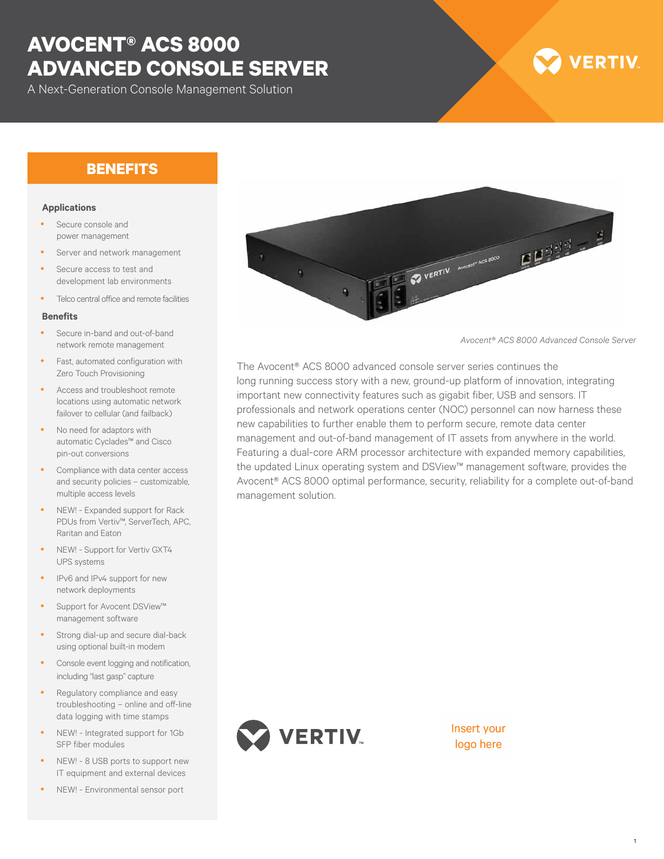# **AVOCENT® ACS 8000 ADVANCED CONSOLE SERVER**

A Next-Generation Console Management Solution

# **VERTIV**

## **BENEFITS**

#### **Applications**

- Secure console and power management
- Server and network management
- Secure access to test and development lab environments
- Telco central office and remote facilities

#### **Benefits**

- Secure in-band and out-of-band network remote management
- Fast, automated configuration with Zero Touch Provisioning
- Access and troubleshoot remote locations using automatic network failover to cellular (and failback)
- No need for adaptors with automatic Cyclades™ and Cisco pin-out conversions
- Compliance with data center access and security policies – customizable, multiple access levels
- NEW! Expanded support for Rack PDUs from Vertiv™, ServerTech, APC, Raritan and Eaton
- NEW! Support for Vertiv GXT4 UPS systems
- IPv6 and IPv4 support for new network deployments
- Support for Avocent DSView™ management software
- Strong dial-up and secure dial-back using optional built-in modem
- Console event logging and notification, including "last gasp" capture
- Regulatory compliance and easy troubleshooting – online and off-line data logging with time stamps
- NEW! Integrated support for 1Gb SFP fiber modules
- NEW! 8 USB ports to support new IT equipment and external devices
- NEW! Environmental sensor port



*Avocent® ACS 8000 Advanced Console Server*

The Avocent® ACS 8000 advanced console server series continues the long running success story with a new, ground-up platform of innovation, integrating important new connectivity features such as gigabit fiber, USB and sensors. IT professionals and network operations center (NOC) personnel can now harness these new capabilities to further enable them to perform secure, remote data center management and out-of-band management of IT assets from anywhere in the world. Featuring a dual-core ARM processor architecture with expanded memory capabilities, the updated Linux operating system and DSView™ management software, provides the Avocent® ACS 8000 optimal performance, security, reliability for a complete out-of-band management solution.



Insert your logo here

1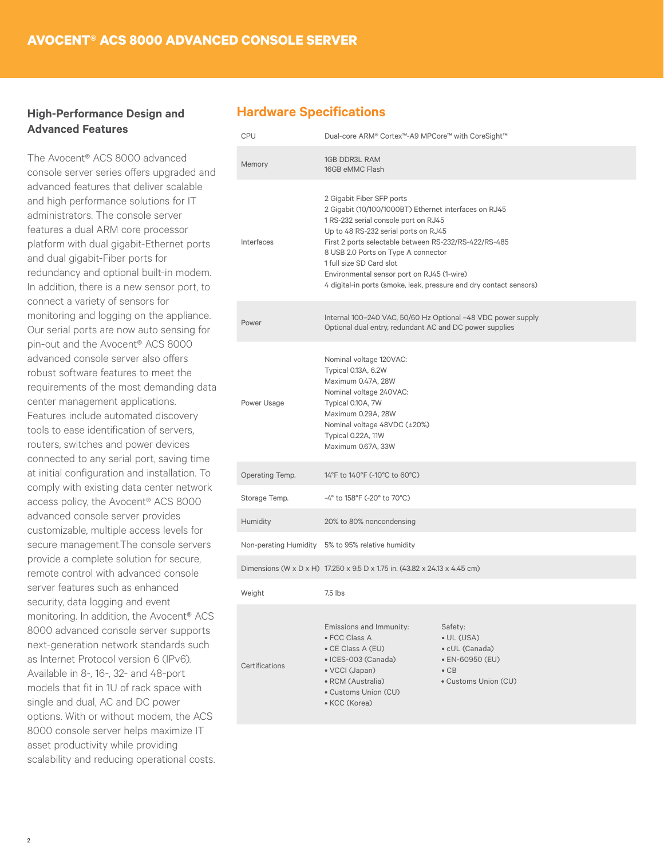### **High-Performance Design and Advanced Features**

The Avocent® ACS 8000 advanced console server series offers upgraded and advanced features that deliver scalable and high performance solutions for IT administrators. The console server features a dual ARM core processor platform with dual gigabit-Ethernet ports and dual gigabit-Fiber ports for redundancy and optional built-in modem. In addition, there is a new sensor port, to connect a variety of sensors for monitoring and logging on the appliance. Our serial ports are now auto sensing for pin-out and the Avocent® ACS 8000 advanced console server also offers robust software features to meet the requirements of the most demanding data center management applications. Features include automated discovery tools to ease identification of servers, routers, switches and power devices connected to any serial port, saving time at initial configuration and installation. To comply with existing data center network access policy, the Avocent® ACS 8000 advanced console server provides customizable, multiple access levels for secure management.The console servers provide a complete solution for secure, remote control with advanced console server features such as enhanced security, data logging and event monitoring. In addition, the Avocent® ACS 8000 advanced console server supports next-generation network standards such as Internet Protocol version 6 (IPv6). Available in 8-, 16-, 32- and 48-port models that fit in 1U of rack space with single and dual, AC and DC power options. With or without modem, the ACS 8000 console server helps maximize IT asset productivity while providing scalability and reducing operational costs.

### **Hardware Specifications**

| <b>CPU</b>      | Dual-core ARM® Cortex™-A9 MPCore™ with CoreSight™                                                                                                                                                                                                                                                                                                                                                                  |                                                                                                            |
|-----------------|--------------------------------------------------------------------------------------------------------------------------------------------------------------------------------------------------------------------------------------------------------------------------------------------------------------------------------------------------------------------------------------------------------------------|------------------------------------------------------------------------------------------------------------|
| Memory          | <b>1GB DDR3L RAM</b><br>16GB eMMC Flash                                                                                                                                                                                                                                                                                                                                                                            |                                                                                                            |
| Interfaces      | 2 Gigabit Fiber SFP ports<br>2 Gigabit (10/100/1000BT) Ethernet interfaces on RJ45<br>1 RS-232 serial console port on RJ45<br>Up to 48 RS-232 serial ports on RJ45<br>First 2 ports selectable between RS-232/RS-422/RS-485<br>8 USB 2.0 Ports on Type A connector<br>1 full size SD Card slot<br>Environmental sensor port on RJ45 (1-wire)<br>4 digital-in ports (smoke, leak, pressure and dry contact sensors) |                                                                                                            |
| Power           | Internal 100-240 VAC, 50/60 Hz Optional -48 VDC power supply<br>Optional dual entry, redundant AC and DC power supplies                                                                                                                                                                                                                                                                                            |                                                                                                            |
| Power Usage     | Nominal voltage 120VAC:<br>Typical 0.13A, 6.2W<br>Maximum 0.47A, 28W<br>Nominal voltage 240VAC:<br>Typical 0.10A, 7W<br>Maximum 0.29A, 28W<br>Nominal voltage 48VDC (±20%)<br>Typical 0.22A, 11W<br>Maximum 0.67A, 33W                                                                                                                                                                                             |                                                                                                            |
| Operating Temp. | 14°F to 140°F (-10°C to 60°C)                                                                                                                                                                                                                                                                                                                                                                                      |                                                                                                            |
| Storage Temp.   | -4° to 158°F (-20° to 70°C)                                                                                                                                                                                                                                                                                                                                                                                        |                                                                                                            |
| Humidity        | 20% to 80% noncondensing                                                                                                                                                                                                                                                                                                                                                                                           |                                                                                                            |
|                 | Non-perating Humidity 5% to 95% relative humidity                                                                                                                                                                                                                                                                                                                                                                  |                                                                                                            |
|                 | Dimensions (W x D x H) 17.250 x 9.5 D x 1.75 in. (43.82 x 24.13 x 4.45 cm)                                                                                                                                                                                                                                                                                                                                         |                                                                                                            |
| Weight          | 7.5 lbs                                                                                                                                                                                                                                                                                                                                                                                                            |                                                                                                            |
| Certifications  | Emissions and Immunity:<br>• FCC Class A<br>• CE Class A (EU)<br>· ICES-003 (Canada)<br>• VCCI (Japan)<br>• RCM (Australia)<br>• Customs Union (CU)<br>• KCC (Korea)                                                                                                                                                                                                                                               | Safety:<br>$\bullet$ UL (USA)<br>• cUL (Canada)<br>• EN-60950 (EU)<br>$\bullet$ CB<br>• Customs Union (CU) |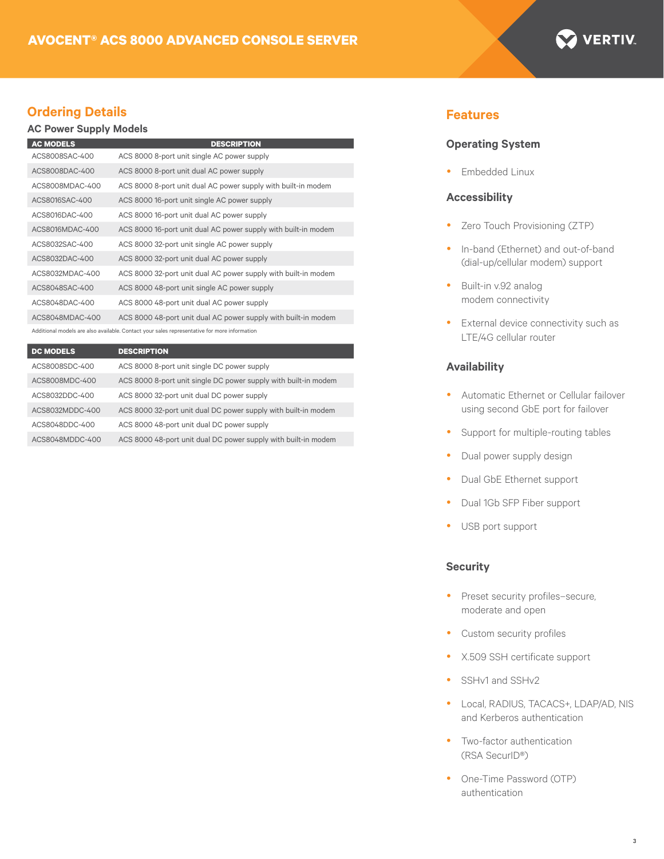

### **Ordering Details Features**

#### **AC Power Supply Models**

| <b>DESCRIPTION</b>                                             |
|----------------------------------------------------------------|
| ACS 8000 8-port unit single AC power supply                    |
| ACS 8000 8-port unit dual AC power supply                      |
| ACS 8000 8-port unit dual AC power supply with built-in modem  |
| ACS 8000 16-port unit single AC power supply                   |
| ACS 8000 16-port unit dual AC power supply                     |
| ACS 8000 16-port unit dual AC power supply with built-in modem |
| ACS 8000 32-port unit single AC power supply                   |
| ACS 8000 32-port unit dual AC power supply                     |
| ACS 8000 32-port unit dual AC power supply with built-in modem |
| ACS 8000 48-port unit single AC power supply                   |
| ACS 8000 48-port unit dual AC power supply                     |
| ACS 8000 48-port unit dual AC power supply with built-in modem |
|                                                                |

Additional models are also available. Contact your sales representative for more information

| <b>DC MODELS</b> | <b>DESCRIPTION</b>                                              |
|------------------|-----------------------------------------------------------------|
| ACS8008SDC-400   | ACS 8000 8-port unit single DC power supply                     |
| ACS8008MDC-400   | ACS 8000 8-port unit single DC power supply with built-in modem |
| ACS8032DDC-400   | ACS 8000 32-port unit dual DC power supply                      |
| ACS8032MDDC-400  | ACS 8000 32-port unit dual DC power supply with built-in modem  |
| ACS8048DDC-400   | ACS 8000 48-port unit dual DC power supply                      |
| ACS8048MDDC-400  | ACS 8000 48-port unit dual DC power supply with built-in modem  |

#### **Operating System**

• Embedded Linux

#### **Accessibility**

- Zero Touch Provisioning (ZTP)
- In-band (Ethernet) and out-of-band (dial-up/cellular modem) support
- Built-in v.92 analog modem connectivity
- External device connectivity such as LTE/4G cellular router

#### **Availability**

- Automatic Ethernet or Cellular failover using second GbE port for failover
- Support for multiple-routing tables
- Dual power supply design
- Dual GbE Ethernet support
- Dual 1Gb SFP Fiber support
- USB port support

#### **Security**

- Preset security profiles-secure, moderate and open
- Custom security profiles
- X.509 SSH certificate support
- SSHv1 and SSHv2
- Local, RADIUS, TACACS+, LDAP/AD, NIS and Kerberos authentication
- Two-factor authentication (RSA SecurID®)
- One-Time Password (OTP) authentication